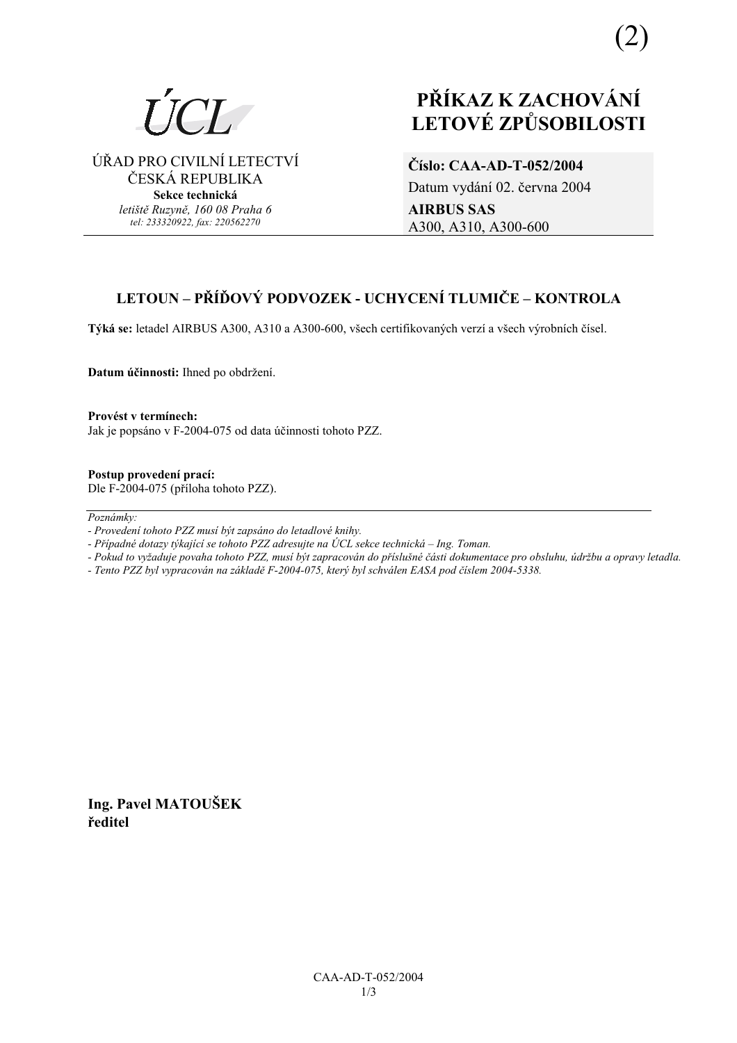ÚŘAD PRO CIVILNÍ LETECTVÍ ČESKÁ REPUBLIKA **Sekce technická** *letiötě Ruzyně, 160 08 Praha 6 tel: 233320922, fax: 220562270*

# **PŘÍKAZ K ZACHOVÁNÍ LETOV… ZPŮSOBILOSTI**

**ČÌslo: CAA-AD-T-052/2004**  Datum vydání 02. června 2004 **AIRBUS SAS**  A300, A310, A300-600

# **LETOUN – PŘÍĎOVÝ PODVOZEK - UCHYCENÍ TLUMIČE – KONTROLA**

Týká se: letadel AIRBUS A300, A310 a A300-600, všech certifikovaných verzí a všech výrobních čísel.

**Datum účinnosti:** Ihned po obdržení.

Provést v termínech: Jak je popsáno v F-2004-075 od data účinnosti tohoto PZZ.

**Postup provedenÌ pracÌ:**  Dle F-2004-075 (příloha tohoto PZZ).

 $Poznámkv:$ 

*- Případné dotazy týkající se tohoto PZZ adresujte na ÚCL sekce technická – Ing. Toman.* 

- *Pokud to vyûaduje povaha tohoto PZZ, musÌ b˝t zapracov·n do přÌsluönÈ č·sti dokumentace pro obsluhu, ˙drûbu a opravy letadla.*
- *Tento PZZ byl vypracov·n na z·kladě F-2004-075, kter˝ byl schv·len EASA pod čÌslem 2004-5338.*

**Ing. Pavel MATOUäEK ředitel** 

*<sup>-</sup> ProvedenÌ tohoto PZZ musÌ b˝t zaps·no do letadlovÈ knihy.*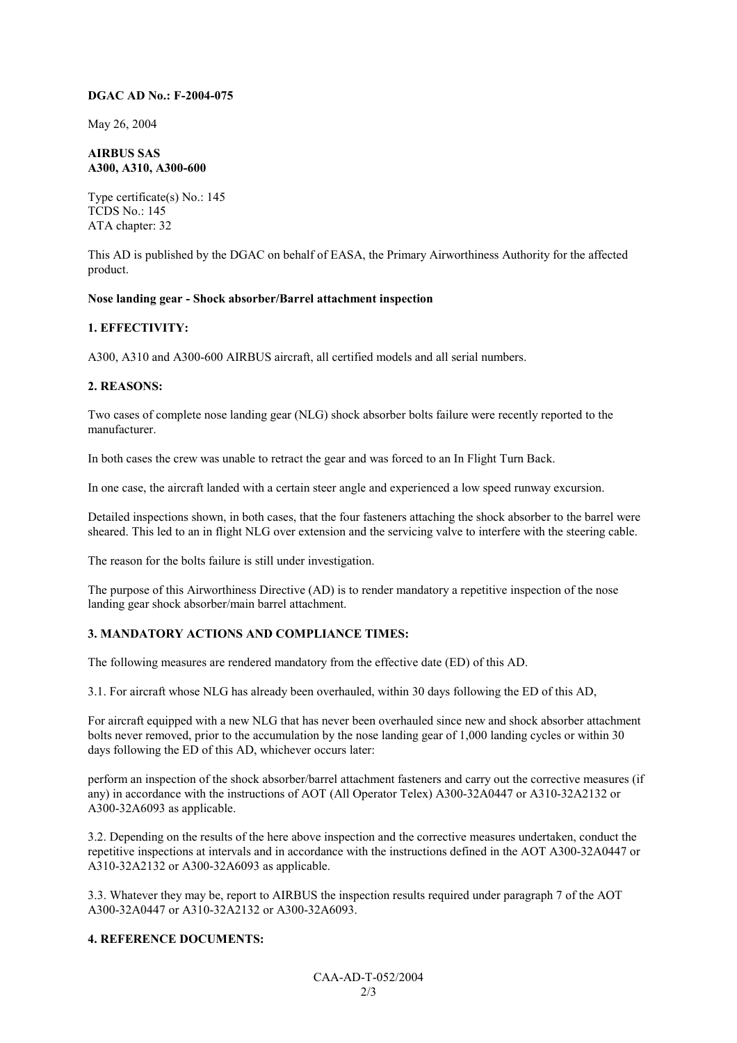#### **DGAC AD No.: F-2004-075**

May 26, 2004

#### **AIRBUS SAS A300, A310, A300-600**

Type certificate(s) No.: 145 TCDS No.: 145 ATA chapter: 32

This AD is published by the DGAC on behalf of EASA, the Primary Airworthiness Authority for the affected product.

#### **Nose landing gear - Shock absorber/Barrel attachment inspection**

# **1. EFFECTIVITY:**

A300, A310 and A300-600 AIRBUS aircraft, all certified models and all serial numbers.

#### **2. REASONS:**

Two cases of complete nose landing gear (NLG) shock absorber bolts failure were recently reported to the manufacturer.

In both cases the crew was unable to retract the gear and was forced to an In Flight Turn Back.

In one case, the aircraft landed with a certain steer angle and experienced a low speed runway excursion.

Detailed inspections shown, in both cases, that the four fasteners attaching the shock absorber to the barrel were sheared. This led to an in flight NLG over extension and the servicing valve to interfere with the steering cable.

The reason for the bolts failure is still under investigation.

The purpose of this Airworthiness Directive (AD) is to render mandatory a repetitive inspection of the nose landing gear shock absorber/main barrel attachment.

# **3. MANDATORY ACTIONS AND COMPLIANCE TIMES:**

The following measures are rendered mandatory from the effective date (ED) of this AD.

3.1. For aircraft whose NLG has already been overhauled, within 30 days following the ED of this AD,

For aircraft equipped with a new NLG that has never been overhauled since new and shock absorber attachment bolts never removed, prior to the accumulation by the nose landing gear of 1,000 landing cycles or within 30 days following the ED of this AD, whichever occurs later:

perform an inspection of the shock absorber/barrel attachment fasteners and carry out the corrective measures (if any) in accordance with the instructions of AOT (All Operator Telex) A300-32A0447 or A310-32A2132 or A300-32A6093 as applicable.

3.2. Depending on the results of the here above inspection and the corrective measures undertaken, conduct the repetitive inspections at intervals and in accordance with the instructions defined in the AOT A300-32A0447 or A310-32A2132 or A300-32A6093 as applicable.

3.3. Whatever they may be, report to AIRBUS the inspection results required under paragraph 7 of the AOT A300-32A0447 or A310-32A2132 or A300-32A6093.

#### **4. REFERENCE DOCUMENTS:**